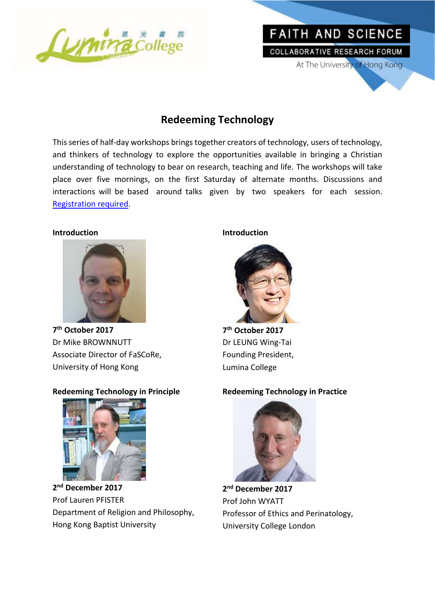

# **Redeeming Technology**

This series of half-day workshops brings together creators of technology, users of technology, and thinkers of technology to explore the opportunities available in bringing a Christian understanding of technology to bear on research, teaching and life. The workshops will take place over five mornings, on the first Saturday of alternate months. Discussions and interactions will be based around talks given by two speakers for each session. [Registration required.](https://docs.google.com/forms/d/e/1FAIpQLSc7e8203ezIZ0n2cGNrr1NWzQJHPsTpCSt6mKNEhA1pUvY6Lw/viewform?c=0&w=1)

#### **Introduction**



**7 th October 2017** Dr Mike BROWNNUTT Associate Director of FaSCoRe, University of Hong Kong

#### **Redeeming Technology in Principle**



**2 nd December 2017** Prof Lauren PFISTER Department of Religion and Philosophy, Hong Kong Baptist University

#### **Introduction**



FAITH AND SCIENCE

COLLABORATIVE RESEARCH FORUM

At The University of Hong Kong

**7 th October 2017** Dr LEUNG Wing-Tai Founding President, Lumina College

#### **Redeeming Technology in Practice**



**2 nd December 2017** Prof John WYATT Professor of Ethics and Perinatology, University College London